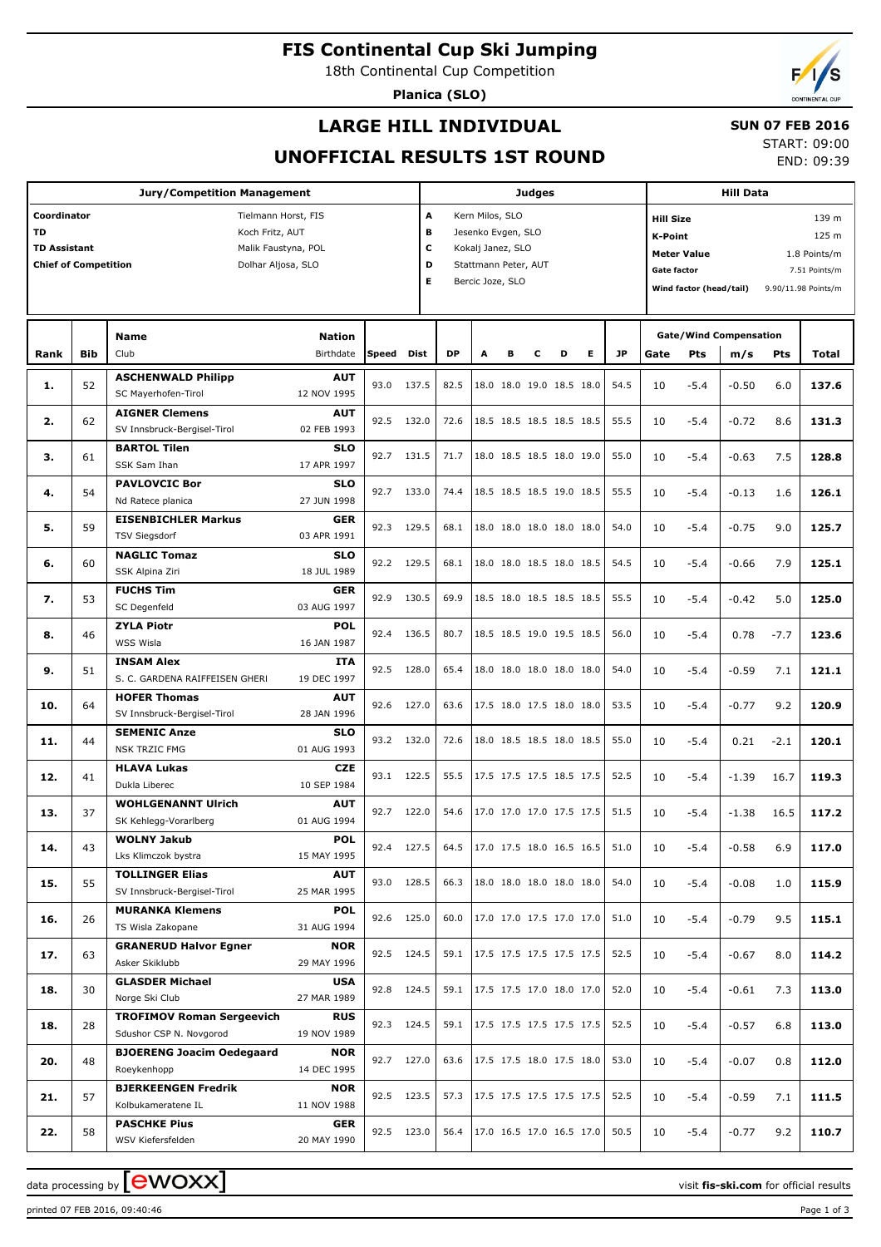**FIS Continental Cup Ski Jumping**

18th Continental Cup Competition

**Planica (SLO)**



#### **LARGE HILL INDIVIDUAL**

#### **SUN 07 FEB 2016**

**UNOFFICIAL RESULTS 1ST ROUND**

START: 09:00 END: 09:39

| <b>Jury/Competition Management</b>                                                                                                                                    |            |                                                                                                 |                                          |              |                | <b>Judges</b>                                                                                                                   |   |   |   |                                                      |   |              | <b>Hill Data</b> |                                                                                                                                                                              |                                      |               |                |  |
|-----------------------------------------------------------------------------------------------------------------------------------------------------------------------|------------|-------------------------------------------------------------------------------------------------|------------------------------------------|--------------|----------------|---------------------------------------------------------------------------------------------------------------------------------|---|---|---|------------------------------------------------------|---|--------------|------------------|------------------------------------------------------------------------------------------------------------------------------------------------------------------------------|--------------------------------------|---------------|----------------|--|
| Coordinator<br>Tielmann Horst, FIS<br><b>TD</b><br>Koch Fritz, AUT<br><b>TD Assistant</b><br>Malik Faustyna, POL<br><b>Chief of Competition</b><br>Dolhar Aljosa, SLO |            |                                                                                                 |                                          |              |                | A<br>Kern Milos, SLO<br>в<br>Jesenko Evgen, SLO<br>c<br>Kokalj Janez, SLO<br>D<br>Stattmann Peter, AUT<br>Е<br>Bercic Joze, SLO |   |   |   |                                                      |   |              |                  | 139 m<br><b>Hill Size</b><br>125 m<br>K-Point<br><b>Meter Value</b><br>1.8 Points/m<br><b>Gate factor</b><br>7.51 Points/m<br>Wind factor (head/tail)<br>9.90/11.98 Points/m |                                      |               |                |  |
| Rank                                                                                                                                                                  | <b>Bib</b> | <b>Name</b><br>Club                                                                             | <b>Nation</b><br>Birthdate               | Speed        | Dist           | <b>DP</b>                                                                                                                       | A | в | с | D                                                    | Е | <b>JP</b>    | Gate             | Pts                                                                                                                                                                          | <b>Gate/Wind Compensation</b><br>m/s | Pts           | <b>Total</b>   |  |
| 1.                                                                                                                                                                    | 52         | <b>ASCHENWALD Philipp</b><br>SC Mayerhofen-Tirol                                                | <b>AUT</b><br>12 NOV 1995                | 93.0         | 137.5          | 82.5                                                                                                                            |   |   |   | 18.0 18.0 19.0 18.5 18.0                             |   | 54.5         | 10               | $-5.4$                                                                                                                                                                       | $-0.50$                              | 6.0           | 137.6          |  |
| 2.                                                                                                                                                                    | 62         | <b>AIGNER Clemens</b><br>SV Innsbruck-Bergisel-Tirol                                            | <b>AUT</b><br>02 FEB 1993                | 92.5         | 132.0          | 72.6                                                                                                                            |   |   |   | 18.5 18.5 18.5 18.5 18.5                             |   | 55.5         | 10               | $-5.4$                                                                                                                                                                       | $-0.72$                              | 8.6           | 131.3          |  |
| з.                                                                                                                                                                    | 61         | <b>BARTOL Tilen</b><br>SSK Sam Ihan                                                             | <b>SLO</b><br>17 APR 1997                | 92.7         | 131.5          | 71.7                                                                                                                            |   |   |   | 18.0 18.5 18.5 18.0 19.0                             |   | 55.0         | 10               | $-5.4$                                                                                                                                                                       | $-0.63$                              | 7.5           | 128.8          |  |
| 4.                                                                                                                                                                    | 54         | <b>PAVLOVCIC Bor</b><br>Nd Ratece planica<br><b>EISENBICHLER Markus</b>                         | <b>SLO</b><br>27 JUN 1998<br><b>GER</b>  | 92.7         | 133.0          | 74.4                                                                                                                            |   |   |   | 18.5 18.5 18.5 19.0 18.5                             |   | 55.5         | 10               | $-5.4$                                                                                                                                                                       | $-0.13$                              | 1.6           | 126.1          |  |
| 5.                                                                                                                                                                    | 59         | <b>TSV Siegsdorf</b><br><b>NAGLIC Tomaz</b>                                                     | 03 APR 1991<br><b>SLO</b>                | 92.3         | 129.5          | 68.1                                                                                                                            |   |   |   | 18.0 18.0 18.0 18.0 18.0                             |   | 54.0         | 10               | $-5.4$                                                                                                                                                                       | $-0.75$                              | 9.0           | 125.7          |  |
| 6.                                                                                                                                                                    | 60         | SSK Alpina Ziri<br><b>FUCHS Tim</b>                                                             | 18 JUL 1989<br><b>GER</b>                | 92.2         | 129.5          | 68.1                                                                                                                            |   |   |   | 18.0 18.0 18.5 18.0 18.5                             |   | 54.5         | 10               | $-5.4$                                                                                                                                                                       | $-0.66$                              | 7.9           | 125.1          |  |
| 7.<br>8.                                                                                                                                                              | 53<br>46   | SC Degenfeld<br><b>ZYLA Piotr</b>                                                               | 03 AUG 1997<br><b>POL</b>                | 92.9<br>92.4 | 130.5<br>136.5 | 69.9<br>80.7                                                                                                                    |   |   |   | 18.5 18.0 18.5 18.5 18.5<br>18.5 18.5 19.0 19.5 18.5 |   | 55.5<br>56.0 | 10<br>10         | $-5.4$<br>$-5.4$                                                                                                                                                             | $-0.42$<br>0.78                      | 5.0<br>$-7.7$ | 125.0<br>123.6 |  |
| 9.                                                                                                                                                                    | 51         | WSS Wisla<br><b>INSAM Alex</b>                                                                  | 16 JAN 1987<br>ITA                       | 92.5         | 128.0          | 65.4                                                                                                                            |   |   |   | 18.0 18.0 18.0 18.0 18.0                             |   | 54.0         | 10               | $-5.4$                                                                                                                                                                       | $-0.59$                              | 7.1           | 121.1          |  |
| 10.                                                                                                                                                                   | 64         | S. C. GARDENA RAIFFEISEN GHERI<br><b>HOFER Thomas</b>                                           | 19 DEC 1997<br><b>AUT</b>                | 92.6         | 127.0          | 63.6                                                                                                                            |   |   |   | 17.5 18.0 17.5 18.0 18.0                             |   | 53.5         | 10               | $-5.4$                                                                                                                                                                       | $-0.77$                              | 9.2           | 120.9          |  |
| 11.                                                                                                                                                                   | 44         | SV Innsbruck-Bergisel-Tirol<br><b>SEMENIC Anze</b><br><b>NSK TRZIC FMG</b>                      | 28 JAN 1996<br><b>SLO</b><br>01 AUG 1993 | 93.2         | 132.0          | 72.6                                                                                                                            |   |   |   | 18.0 18.5 18.5 18.0 18.5                             |   | 55.0         | 10               | $-5.4$                                                                                                                                                                       | 0.21                                 | $-2.1$        | 120.1          |  |
| 12.                                                                                                                                                                   | 41         | <b>HLAVA Lukas</b><br>Dukla Liberec                                                             | <b>CZE</b><br>10 SEP 1984                | 93.1         | 122.5          | 55.5                                                                                                                            |   |   |   | 17.5 17.5 17.5 18.5 17.5                             |   | 52.5         | 10               | $-5.4$                                                                                                                                                                       | $-1.39$                              | 16.7          | 119.3          |  |
| 13.                                                                                                                                                                   | 37         | <b>WOHLGENANNT Ulrich</b><br>SK Kehlegg-Vorarlberg                                              | <b>AUT</b><br>01 AUG 1994                | 92.7         | 122.0          | 54.6                                                                                                                            |   |   |   | 17.0 17.0 17.0 17.5 17.5                             |   | 51.5         | 10               | $-5.4$                                                                                                                                                                       | $-1.38$                              | 16.5          | 117.2          |  |
| 14.                                                                                                                                                                   | 43         | <b>WOLNY Jakub</b><br>Lks Klimczok bystra                                                       | <b>POL</b><br>15 MAY 1995                | 92.4 127.5   |                | 64.5                                                                                                                            |   |   |   | 17.0 17.5 18.0 16.5 16.5                             |   | 51.0         | 10               | -5.4                                                                                                                                                                         | -0.58                                | 6.9           | 117.0          |  |
| 15.                                                                                                                                                                   | 55         | <b>TOLLINGER Elias</b><br>SV Innsbruck-Bergisel-Tirol                                           | <b>AUT</b><br>25 MAR 1995                | 93.0         | 128.5          | 66.3                                                                                                                            |   |   |   | 18.0 18.0 18.0 18.0 18.0                             |   | 54.0         | 10               | $-5.4$                                                                                                                                                                       | $-0.08$                              | 1.0           | 115.9          |  |
| 16.                                                                                                                                                                   | 26         | <b>MURANKA Klemens</b><br>TS Wisla Zakopane                                                     | <b>POL</b><br>31 AUG 1994                | 92.6         | 125.0          | 60.0                                                                                                                            |   |   |   | 17.0 17.0 17.5 17.0 17.0                             |   | 51.0         | 10               | $-5.4$                                                                                                                                                                       | $-0.79$                              | 9.5           | 115.1          |  |
| 17.                                                                                                                                                                   | 63         | <b>GRANERUD Halvor Egner</b><br>Asker Skiklubb                                                  | <b>NOR</b><br>29 MAY 1996                | 92.5         | 124.5          | 59.1                                                                                                                            |   |   |   | 17.5 17.5 17.5 17.5 17.5                             |   | 52.5         | 10               | $-5.4$                                                                                                                                                                       | $-0.67$                              | 8.0           | 114.2          |  |
| 18.                                                                                                                                                                   | 30         | <b>GLASDER Michael</b><br>Norge Ski Club                                                        | USA<br>27 MAR 1989                       | 92.8         | 124.5          | 59.1                                                                                                                            |   |   |   | 17.5 17.5 17.0 18.0 17.0                             |   | 52.0         | 10               | $-5.4$                                                                                                                                                                       | $-0.61$                              | 7.3           | 113.0          |  |
| 18.                                                                                                                                                                   | 28         | <b>TROFIMOV Roman Sergeevich</b><br>Sdushor CSP N. Novgorod<br><b>BJOERENG Joacim Oedegaard</b> | <b>RUS</b><br>19 NOV 1989<br>NOR         | 92.3         | 124.5          | 59.1                                                                                                                            |   |   |   | 17.5 17.5 17.5 17.5 17.5                             |   | 52.5         | 10               | $-5.4$                                                                                                                                                                       | $-0.57$                              | 6.8           | 113.0          |  |
| 20.                                                                                                                                                                   | 48         | Roeykenhopp<br><b>BJERKEENGEN Fredrik</b>                                                       | 14 DEC 1995<br><b>NOR</b>                | 92.7         | 127.0          | 63.6                                                                                                                            |   |   |   | 17.5 17.5 18.0 17.5 18.0                             |   | 53.0         | 10               | $-5.4$                                                                                                                                                                       | $-0.07$                              | 0.8           | 112.0          |  |
| 21.                                                                                                                                                                   | 57         | Kolbukameratene IL                                                                              | 11 NOV 1988                              | 92.5         | 123.5          | 57.3                                                                                                                            |   |   |   | 17.5 17.5 17.5 17.5 17.5                             |   | 52.5         | 10               | $-5.4$                                                                                                                                                                       | $-0.59$                              | 7.1           | 111.5          |  |
| 22.                                                                                                                                                                   | 58         | <b>PASCHKE Pius</b><br>WSV Kiefersfelden                                                        | GER<br>20 MAY 1990                       | 92.5 123.0   |                | 56.4                                                                                                                            |   |   |   | 17.0 16.5 17.0 16.5 17.0                             |   | 50.5         | 10               | $-5.4$                                                                                                                                                                       | $-0.77$                              | 9.2           | 110.7          |  |

data processing by **CWOXX** and the set of the visit **fis-ski.com** for official results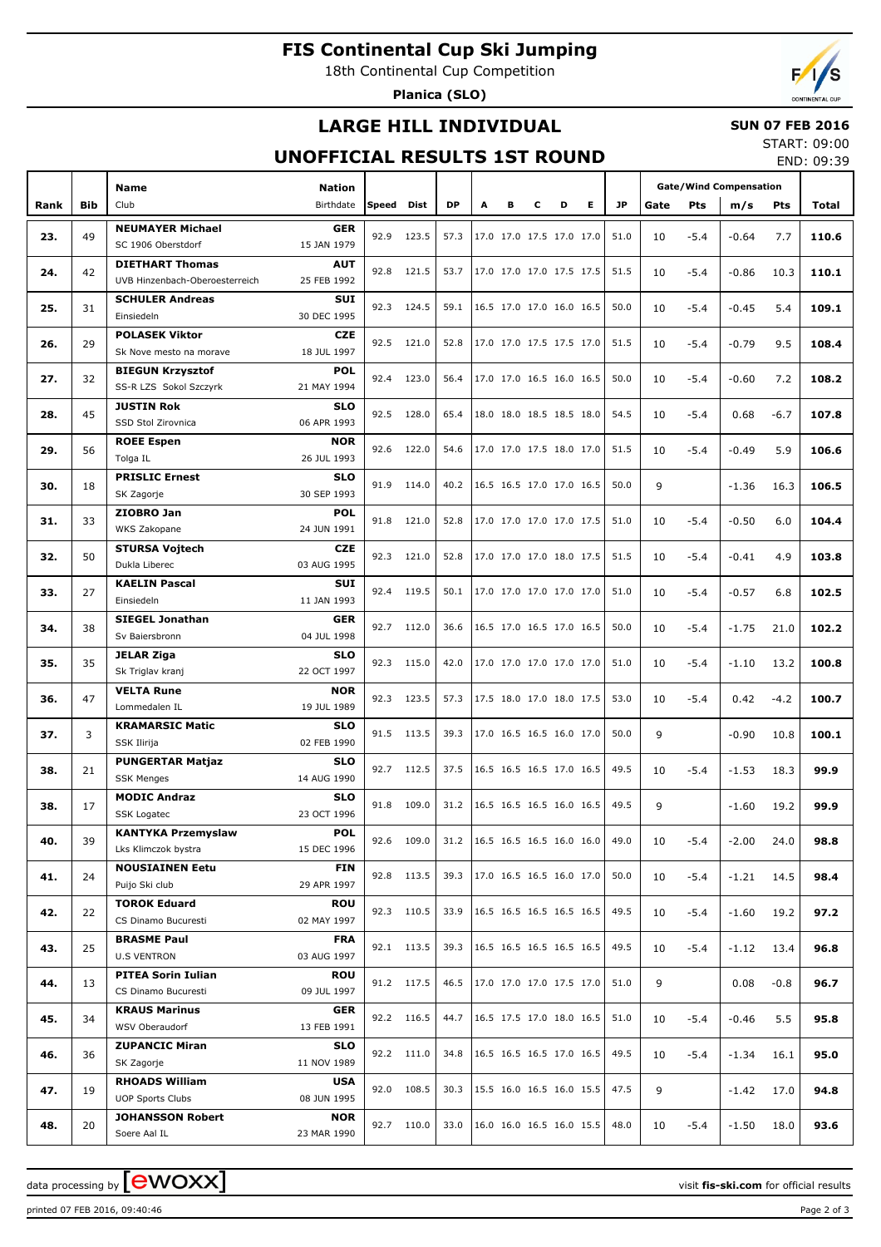# **FIS Continental Cup Ski Jumping**

18th Continental Cup Competition

**Planica (SLO)**

### **LARGE HILL INDIVIDUAL**

#### **SUN 07 FEB 2016** START: 09:00

### **UNOFFICIAL RESULTS 1ST ROUND**

END: 09:39

|      |            | <b>Name</b>                                      |                            |            |            |           |   |   |   |                            | <b>Gate/Wind Compensation</b> |      |        |         |            |       |
|------|------------|--------------------------------------------------|----------------------------|------------|------------|-----------|---|---|---|----------------------------|-------------------------------|------|--------|---------|------------|-------|
| Rank | <b>Bib</b> | Club                                             | <b>Nation</b><br>Birthdate | Speed Dist |            | <b>DP</b> | А | в | C | D<br>E.                    | JP.                           | Gate | Pts    | m/s     | <b>Pts</b> | Total |
|      |            | <b>NEUMAYER Michael</b>                          | <b>GER</b>                 |            |            |           |   |   |   |                            |                               |      |        |         |            |       |
| 23.  | 49         | SC 1906 Oberstdorf                               | 15 JAN 1979                | 92.9       | 123.5      | 57.3      |   |   |   | 17.0 17.0 17.5 17.0 17.0   | 51.0                          | 10   | $-5.4$ | $-0.64$ | 7.7        | 110.6 |
|      |            | <b>DIETHART Thomas</b>                           | <b>AUT</b>                 |            |            |           |   |   |   |                            |                               |      |        |         |            |       |
| 24.  | 42         | UVB Hinzenbach-Oberoesterreich                   | 25 FEB 1992                |            | 92.8 121.5 | 53.7      |   |   |   | 17.0 17.0 17.0 17.5 17.5   | 51.5                          | 10   | $-5.4$ | $-0.86$ | 10.3       | 110.1 |
| 25.  | 31         | <b>SCHULER Andreas</b>                           | SUI                        |            | 92.3 124.5 | 59.1      |   |   |   | 16.5 17.0 17.0 16.0 16.5   | 50.0                          | 10   | $-5.4$ | $-0.45$ | 5.4        | 109.1 |
|      |            | Einsiedeln                                       | 30 DEC 1995                |            |            |           |   |   |   |                            |                               |      |        |         |            |       |
| 26.  | 29         | <b>POLASEK Viktor</b>                            | <b>CZE</b>                 |            | 92.5 121.0 | 52.8      |   |   |   | 17.0 17.0 17.5 17.5 17.0   | 51.5                          | 10   | $-5.4$ | $-0.79$ | 9.5        | 108.4 |
|      |            | Sk Nove mesto na morave                          | 18 JUL 1997                |            |            |           |   |   |   |                            |                               |      |        |         |            |       |
| 27.  | 32         | <b>BIEGUN Krzysztof</b>                          | <b>POL</b>                 |            | 92.4 123.0 | 56.4      |   |   |   | 17.0 17.0 16.5 16.0 16.5   | 50.0                          | 10   | $-5.4$ | $-0.60$ | 7.2        | 108.2 |
|      |            | SS-R LZS Sokol Szczyrk                           | 21 MAY 1994                |            |            |           |   |   |   |                            |                               |      |        |         |            |       |
| 28.  | 45         | <b>JUSTIN Rok</b>                                | <b>SLO</b>                 |            | 92.5 128.0 | 65.4      |   |   |   | 18.0 18.0 18.5 18.5 18.0   | 54.5                          | 10   | $-5.4$ | 0.68    | $-6.7$     | 107.8 |
|      |            | SSD Stol Zirovnica                               | 06 APR 1993                |            |            |           |   |   |   |                            |                               |      |        |         |            |       |
| 29.  | 56         | <b>ROEE Espen</b><br>Tolga IL                    | <b>NOR</b><br>26 JUL 1993  |            | 92.6 122.0 | 54.6      |   |   |   | 17.0 17.0 17.5 18.0 17.0   | 51.5                          | 10   | $-5.4$ | $-0.49$ | 5.9        | 106.6 |
|      |            | <b>PRISLIC Ernest</b>                            | <b>SLO</b>                 |            |            |           |   |   |   |                            |                               |      |        |         |            |       |
| 30.  | 18         | SK Zagorje                                       | 30 SEP 1993                | 91.9       | 114.0      | 40.2      |   |   |   | 16.5 16.5 17.0 17.0 16.5   | 50.0                          | 9    |        | $-1.36$ | 16.3       | 106.5 |
|      |            | ZIOBRO Jan                                       | <b>POL</b>                 |            |            |           |   |   |   |                            |                               |      |        |         |            |       |
| 31.  | 33         | WKS Zakopane                                     | 24 JUN 1991                |            | 91.8 121.0 | 52.8      |   |   |   | 17.0 17.0 17.0 17.0 17.5   | 51.0                          | 10   | $-5.4$ | $-0.50$ | 6.0        | 104.4 |
|      |            | <b>STURSA Vojtech</b>                            | CZE.                       |            |            |           |   |   |   |                            |                               |      |        |         |            |       |
| 32.  | 50         | Dukla Liberec                                    | 03 AUG 1995                |            | 92.3 121.0 | 52.8      |   |   |   | 17.0 17.0 17.0 18.0 17.5   | 51.5                          | 10   | $-5.4$ | $-0.41$ | 4.9        | 103.8 |
| 33.  | 27         | <b>KAELIN Pascal</b>                             | SUI                        |            | 92.4 119.5 | 50.1      |   |   |   | 17.0 17.0 17.0 17.0 17.0   | 51.0                          | 10   | $-5.4$ | $-0.57$ | 6.8        | 102.5 |
|      |            | Einsiedeln                                       | 11 JAN 1993                |            |            |           |   |   |   |                            |                               |      |        |         |            |       |
| 34.  | 38         | <b>SIEGEL Jonathan</b>                           | <b>GER</b>                 |            | 92.7 112.0 | 36.6      |   |   |   | 16.5 17.0 16.5 17.0 16.5   | 50.0                          | 10   | $-5.4$ | $-1.75$ | 21.0       | 102.2 |
|      |            | Sv Baiersbronn                                   | 04 JUL 1998                |            |            |           |   |   |   |                            |                               |      |        |         |            |       |
| 35.  | 35         | <b>JELAR Ziga</b>                                | <b>SLO</b>                 |            | 92.3 115.0 | 42.0      |   |   |   | 17.0 17.0 17.0 17.0 17.0   | 51.0                          | 10   | $-5.4$ | $-1.10$ | 13.2       | 100.8 |
|      |            | Sk Triglav kranj                                 | 22 OCT 1997                |            |            |           |   |   |   |                            |                               |      |        |         |            |       |
| 36.  | 47         | <b>VELTA Rune</b>                                | <b>NOR</b><br>19 JUL 1989  |            | 92.3 123.5 | 57.3      |   |   |   | 17.5 18.0 17.0 18.0 17.5   | 53.0                          | 10   | $-5.4$ | 0.42    | $-4.2$     | 100.7 |
|      |            | Lommedalen IL<br><b>KRAMARSIC Matic</b>          | <b>SLO</b>                 |            |            |           |   |   |   |                            |                               |      |        |         |            |       |
| 37.  | 3          | <b>SSK Ilirija</b>                               | 02 FEB 1990                |            | 91.5 113.5 | 39.3      |   |   |   | 17.0 16.5 16.5 16.0 17.0   | 50.0                          | 9    |        | $-0.90$ | 10.8       | 100.1 |
|      |            | <b>PUNGERTAR Matjaz</b>                          | <b>SLO</b>                 |            |            |           |   |   |   |                            |                               |      |        |         |            |       |
| 38.  | 21         | <b>SSK Menges</b>                                | 14 AUG 1990                |            | 92.7 112.5 | 37.5      |   |   |   | 16.5 16.5 16.5 17.0 16.5   | 49.5                          | 10   | $-5.4$ | $-1.53$ | 18.3       | 99.9  |
|      |            | <b>MODIC Andraz</b>                              | <b>SLO</b>                 |            |            |           |   |   |   |                            |                               |      |        |         |            |       |
| 38.  | 17         | SSK Logatec                                      | 23 OCT 1996                | 91.8       | 109.0      | 31.2      |   |   |   | 16.5 16.5 16.5 16.0 16.5   | 49.5                          | 9    |        | $-1.60$ | 19.2       | 99.9  |
| 40.  | 39         | <b>KANTYKA Przemyslaw</b>                        | <b>POL</b>                 |            | 92.6 109.0 | 31.2      |   |   |   | $16.5$ 16.5 16.5 16.0 16.0 | 49.0                          | 10   | $-5.4$ | $-2.00$ | 24.0       | 98.8  |
|      |            | Lks Klimczok bystra                              | 15 DEC 1996                |            |            |           |   |   |   |                            |                               |      |        |         |            |       |
| 41.  | 24         | <b>NOUSIAINEN Eetu</b>                           | <b>FIN</b>                 |            | 92.8 113.5 | 39.3      |   |   |   | 17.0 16.5 16.5 16.0 17.0   | 50.0                          | 10   | $-5.4$ | $-1.21$ | 14.5       | 98.4  |
|      |            | Puijo Ski club                                   | 29 APR 1997                |            |            |           |   |   |   |                            |                               |      |        |         |            |       |
| 42.  | 22         | <b>TOROK Eduard</b>                              | <b>ROU</b>                 |            | 92.3 110.5 | 33.9      |   |   |   | 16.5 16.5 16.5 16.5 16.5   | 49.5                          | 10   | $-5.4$ | $-1.60$ | 19.2       | 97.2  |
|      |            | CS Dinamo Bucuresti                              | 02 MAY 1997                |            |            |           |   |   |   |                            |                               |      |        |         |            |       |
| 43.  | 25         | <b>BRASME Paul</b><br><b>U.S VENTRON</b>         | <b>FRA</b><br>03 AUG 1997  |            | 92.1 113.5 | 39.3      |   |   |   | 16.5 16.5 16.5 16.5 16.5   | 49.5                          | 10   | $-5.4$ | $-1.12$ | 13.4       | 96.8  |
|      |            |                                                  |                            |            |            |           |   |   |   |                            |                               |      |        |         |            |       |
| 44.  | 13         | <b>PITEA Sorin Iulian</b><br>CS Dinamo Bucuresti | <b>ROU</b><br>09 JUL 1997  |            | 91.2 117.5 | 46.5      |   |   |   | 17.0 17.0 17.0 17.5 17.0   | 51.0                          | 9    |        | 0.08    | $-0.8$     | 96.7  |
|      |            | <b>KRAUS Marinus</b>                             | <b>GER</b>                 |            |            |           |   |   |   |                            |                               |      |        |         |            |       |
| 45.  | 34         | WSV Oberaudorf                                   | 13 FEB 1991                |            | 92.2 116.5 | 44.7      |   |   |   | 16.5 17.5 17.0 18.0 16.5   | 51.0                          | 10   | $-5.4$ | $-0.46$ | 5.5        | 95.8  |
|      |            | <b>ZUPANCIC Miran</b>                            | <b>SLO</b>                 |            |            |           |   |   |   |                            |                               |      |        |         |            |       |
| 46.  | 36         | SK Zagorje                                       | 11 NOV 1989                |            | 92.2 111.0 | 34.8      |   |   |   | 16.5 16.5 16.5 17.0 16.5   | 49.5                          | 10   | $-5.4$ | -1.34   | 16.1       | 95.0  |
|      |            | <b>RHOADS William</b>                            | <b>USA</b>                 |            | 92.0 108.5 | 30.3      |   |   |   | 15.5 16.0 16.5 16.0 15.5   | 47.5                          |      |        |         |            |       |
| 47.  | 19         | <b>UOP Sports Clubs</b>                          | 08 JUN 1995                |            |            |           |   |   |   |                            |                               | 9    |        | -1.42   | 17.0       | 94.8  |
| 48.  | 20         | <b>JOHANSSON Robert</b>                          | <b>NOR</b>                 |            | 92.7 110.0 | 33.0      |   |   |   | 16.0 16.0 16.5 16.0 15.5   | 48.0                          | 10   | $-5.4$ | $-1.50$ | 18.0       | 93.6  |
|      |            | Soere Aal IL                                     | 23 MAR 1990                |            |            |           |   |   |   |                            |                               |      |        |         |            |       |

printed 07 FEB 2016, 09:40:46 Page 2 of 3

data processing by **CWOXX** and  $\overline{C}$  and  $\overline{C}$  and  $\overline{C}$  and  $\overline{C}$  and  $\overline{C}$  and  $\overline{C}$  and  $\overline{C}$  and  $\overline{C}$  and  $\overline{C}$  and  $\overline{C}$  and  $\overline{C}$  and  $\overline{C}$  and  $\overline{C}$  and  $\overline{C}$  and  $\overline{C}$